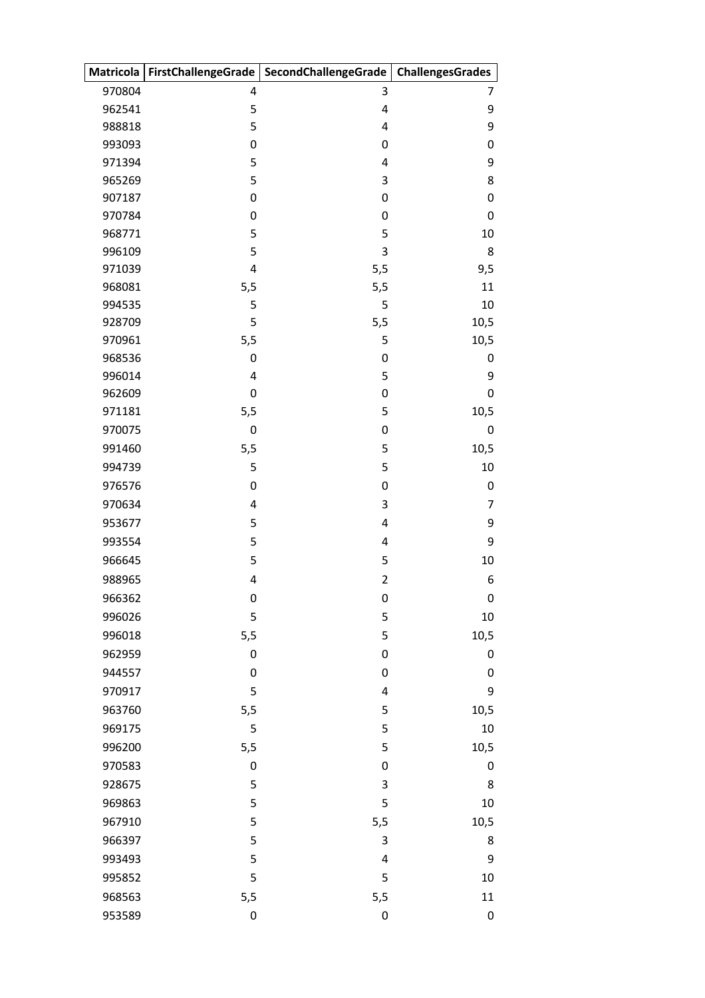|                  |                         | Matricola   FirstChallengeGrade   SecondChallengeGrade | <b>ChallengesGrades</b> |
|------------------|-------------------------|--------------------------------------------------------|-------------------------|
| 970804           | 4                       | 3                                                      | 7                       |
| 962541           | 5                       | 4                                                      | 9                       |
| 988818           | 5                       | 4                                                      | 9                       |
| 993093           | $\boldsymbol{0}$        | $\pmb{0}$                                              | 0                       |
| 971394           | 5                       | 4                                                      | 9                       |
| 965269           | 5                       | 3                                                      | 8                       |
| 907187           | 0                       | 0                                                      | 0                       |
| 970784           | $\boldsymbol{0}$        | 0                                                      | 0                       |
| 968771           | 5                       | 5                                                      | 10                      |
| 996109           | 5                       | 3                                                      | 8                       |
| 971039           | $\overline{\mathbf{4}}$ | 5,5                                                    | 9,5                     |
| 968081<br>994535 | 5,5<br>5                | 5,5<br>5                                               | 11<br>10                |
| 928709           | 5                       | 5,5                                                    | 10,5                    |
| 970961           | 5,5                     | 5                                                      | 10,5                    |
| 968536           | 0                       | $\pmb{0}$                                              | 0                       |
| 996014           | 4                       | 5                                                      | 9                       |
| 962609           | 0                       | $\mathbf 0$                                            | 0                       |
| 971181           | 5,5                     | 5                                                      | 10,5                    |
| 970075           | $\boldsymbol{0}$        | $\mathbf 0$                                            | 0                       |
| 991460           | 5,5                     | 5                                                      | 10,5                    |
| 994739           | 5                       | 5                                                      | 10                      |
| 976576           | $\boldsymbol{0}$        | $\pmb{0}$                                              | 0                       |
| 970634           | 4                       | 3                                                      | 7                       |
| 953677           | 5                       | 4                                                      | 9                       |
| 993554           | 5                       | $\overline{4}$                                         | 9                       |
| 966645           | 5                       | 5                                                      | 10                      |
| 988965           | $\pmb{4}$               | $\overline{c}$                                         | 6                       |
| 966362           | 0                       | 0                                                      | 0                       |
| 996026           | 5                       | 5                                                      | 10                      |
| 996018           | 5,5                     | 5                                                      | 10,5                    |
| 962959           | 0                       | 0                                                      | 0                       |
| 944557           | $\boldsymbol{0}$        | $\pmb{0}$                                              | 0                       |
| 970917           | 5                       | $\overline{4}$                                         | 9                       |
| 963760           | 5,5                     | 5                                                      | 10,5                    |
| 969175           | 5                       | 5                                                      | 10                      |
| 996200           | 5,5                     | 5                                                      | 10,5                    |
| 970583           | $\boldsymbol{0}$        | 0                                                      | 0                       |
| 928675           | 5                       | 3                                                      | 8                       |
| 969863           | 5                       | 5                                                      | 10                      |
| 967910           | 5                       | 5,5                                                    | 10,5                    |
| 966397           | 5                       | 3                                                      | 8                       |
| 993493           | 5                       | 4                                                      | 9                       |
| 995852           | 5                       | 5                                                      | 10                      |
| 968563           | 5,5                     | 5,5                                                    | 11                      |
| 953589           | $\boldsymbol{0}$        | $\boldsymbol{0}$                                       | 0                       |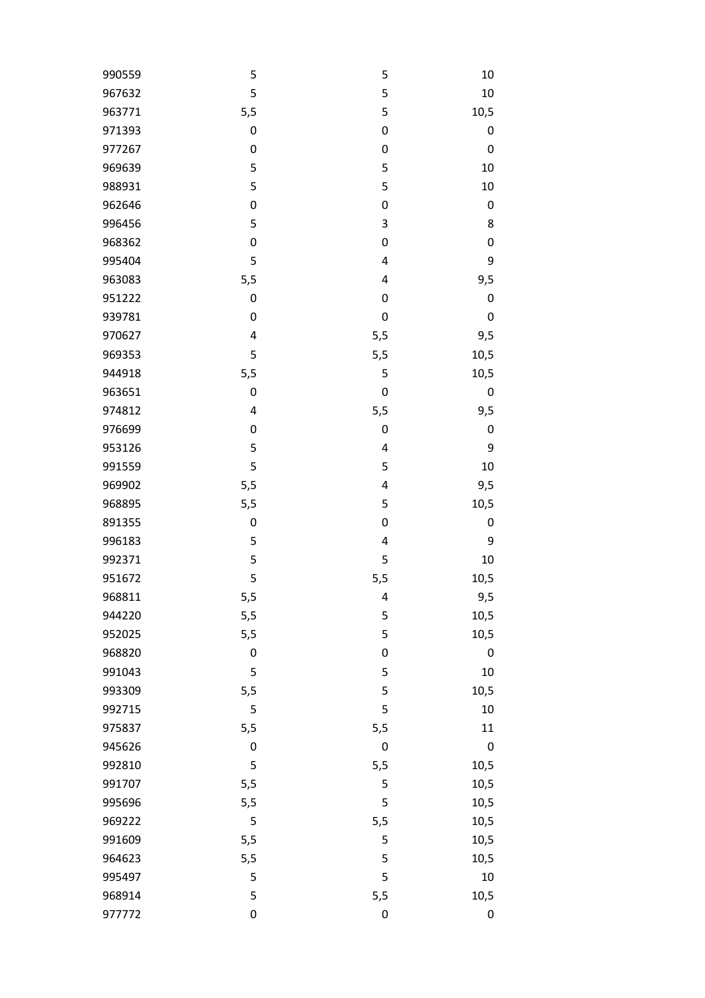| 990559 | 5                | 5                       | 10               |
|--------|------------------|-------------------------|------------------|
| 967632 | 5                | 5                       | 10               |
| 963771 | 5,5              | 5                       | 10,5             |
| 971393 | $\pmb{0}$        | $\boldsymbol{0}$        | 0                |
| 977267 | $\mathbf 0$      | $\mathbf 0$             | $\mathbf 0$      |
| 969639 | 5                | 5                       | 10               |
| 988931 | 5                | 5                       | 10               |
| 962646 | $\pmb{0}$        | $\boldsymbol{0}$        | $\boldsymbol{0}$ |
| 996456 | 5                | 3                       | 8                |
| 968362 | $\mathbf 0$      | $\boldsymbol{0}$        | $\boldsymbol{0}$ |
| 995404 | 5                | 4                       | 9                |
| 963083 | 5,5              | $\overline{4}$          | 9,5              |
| 951222 | $\pmb{0}$        | $\mathbf 0$             | $\boldsymbol{0}$ |
| 939781 | $\mathbf 0$      | $\mathbf 0$             | $\mathbf 0$      |
| 970627 | 4                | 5,5                     | 9,5              |
| 969353 | 5                | 5,5                     | 10,5             |
| 944918 | 5,5              | 5                       | 10,5             |
| 963651 | $\boldsymbol{0}$ | $\boldsymbol{0}$        | $\boldsymbol{0}$ |
| 974812 | 4                | 5,5                     | 9,5              |
| 976699 | $\pmb{0}$        | $\boldsymbol{0}$        | $\boldsymbol{0}$ |
| 953126 | 5                | $\overline{\mathbf{4}}$ | 9                |
| 991559 | 5                | 5                       | 10               |
| 969902 | 5,5              | 4                       | 9,5              |
| 968895 | 5,5              | 5                       | 10,5             |
| 891355 | $\mathbf 0$      | $\mathbf 0$             | $\boldsymbol{0}$ |
| 996183 | 5                | $\overline{\mathbf{4}}$ | 9                |
| 992371 | 5                | 5                       | 10               |
| 951672 | 5                | 5,5                     | 10,5             |
| 968811 | 5,5              | 4                       | 9,5              |
| 944220 | 5,5              | 5                       | 10,5             |
| 952025 | 5,5              | 5                       | 10,5             |
| 968820 | $\pmb{0}$        | $\boldsymbol{0}$        | $\boldsymbol{0}$ |
| 991043 | 5                | 5                       | 10               |
| 993309 | 5,5              | 5                       | 10,5             |
| 992715 | 5                | 5                       | 10               |
| 975837 | 5,5              | 5,5                     | 11               |
| 945626 | 0                | $\mathbf 0$             | $\mathbf 0$      |
| 992810 | 5                | 5,5                     | 10,5             |
| 991707 | 5,5              | 5                       | 10,5             |
| 995696 | 5,5              | 5                       | 10,5             |
| 969222 | 5                | 5,5                     | 10,5             |
| 991609 | 5,5              | 5                       | 10,5             |
| 964623 | 5,5              | 5                       | 10,5             |
| 995497 | 5                | 5                       | $10\,$           |
| 968914 | 5                | 5,5                     | 10,5             |
| 977772 | $\boldsymbol{0}$ | $\boldsymbol{0}$        | $\pmb{0}$        |
|        |                  |                         |                  |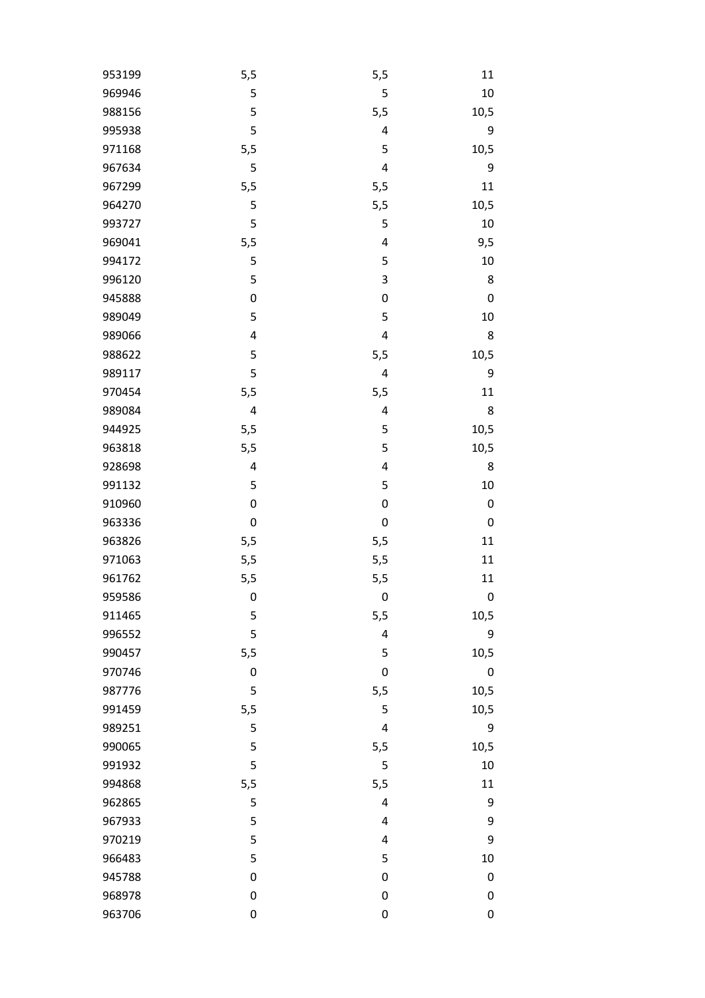| 953199 | 5,5         | 5,5              | 11               |
|--------|-------------|------------------|------------------|
| 969946 | 5           | 5                | 10               |
| 988156 | 5           | 5,5              | 10,5             |
| 995938 | 5           | 4                | 9                |
| 971168 | 5,5         | 5                | 10,5             |
| 967634 | 5           | 4                | 9                |
| 967299 | 5,5         | 5,5              | 11               |
| 964270 | 5           | 5,5              | 10,5             |
| 993727 | 5           | 5                | 10               |
| 969041 | 5,5         | 4                | 9,5              |
| 994172 | 5           | 5                | $10\,$           |
| 996120 | 5           | 3                | 8                |
| 945888 | $\mathbf 0$ | $\pmb{0}$        | $\pmb{0}$        |
| 989049 | 5           | 5                | 10               |
| 989066 | 4           | 4                | 8                |
| 988622 | 5           | 5,5              | 10,5             |
| 989117 | 5           | 4                | 9                |
| 970454 | 5,5         | 5,5              | 11               |
| 989084 | 4           | 4                | 8                |
| 944925 | 5,5         | 5                | 10,5             |
| 963818 | 5,5         | 5                | 10,5             |
| 928698 | 4           | 4                | 8                |
| 991132 | 5           | 5                | 10               |
| 910960 | $\mathbf 0$ | 0                | 0                |
| 963336 | $\mathbf 0$ | 0                | $\pmb{0}$        |
| 963826 | 5,5         | 5,5              | 11               |
| 971063 | 5,5         | 5,5              | 11               |
| 961762 | 5,5         | 5,5              | 11               |
| 959586 | 0           | $\boldsymbol{0}$ | 0                |
| 911465 | 5           | 5,5              | 10,5             |
| 996552 | 5           | 4                | 9                |
| 990457 | 5,5         | 5                | 10,5             |
| 970746 | $\mathbf 0$ | 0                | $\mathbf 0$      |
| 987776 | 5           | 5,5              | 10,5             |
| 991459 | 5,5         | 5                | 10,5             |
| 989251 | 5           | 4                | 9                |
| 990065 | 5           | 5,5              | 10,5             |
| 991932 | 5           | 5                | 10               |
| 994868 | 5,5         | 5,5              | 11               |
| 962865 | 5           | 4                | 9                |
| 967933 | 5           | 4                | 9                |
| 970219 | 5           | 4                | 9                |
| 966483 | 5           | 5                | 10               |
| 945788 | $\mathbf 0$ | 0                | 0                |
|        |             |                  |                  |
| 968978 | $\mathbf 0$ | $\boldsymbol{0}$ | $\boldsymbol{0}$ |
| 963706 | $\mathbf 0$ | 0                | 0                |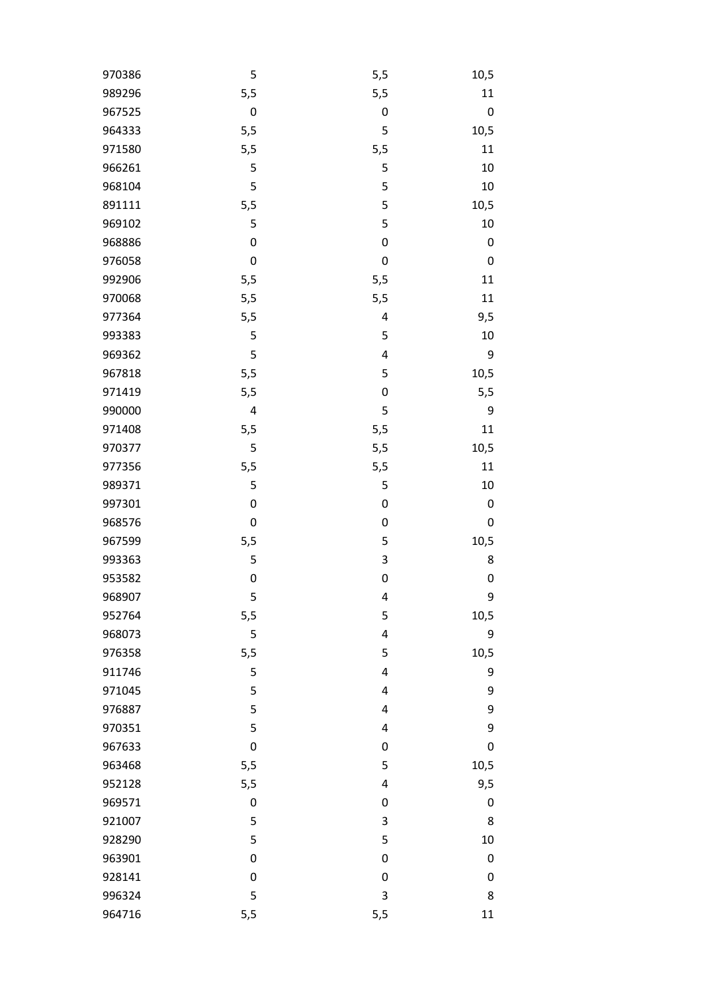| 970386 | 5                | 5,5              | 10,5             |
|--------|------------------|------------------|------------------|
| 989296 | 5,5              | 5,5              | 11               |
| 967525 | $\mathbf 0$      | $\boldsymbol{0}$ | $\mathbf 0$      |
| 964333 | 5,5              | 5                | 10,5             |
| 971580 | 5,5              | 5,5              | 11               |
| 966261 | 5                | 5                | 10               |
| 968104 | 5                | 5                | 10               |
| 891111 | 5,5              | 5                | 10,5             |
| 969102 | 5                | 5                | 10               |
| 968886 | $\boldsymbol{0}$ | $\mathbf 0$      | 0                |
| 976058 | 0                | $\boldsymbol{0}$ | 0                |
| 992906 | 5,5              | 5,5              | 11               |
| 970068 | 5,5              | 5,5              | 11               |
| 977364 | 5,5              | 4                | 9,5              |
| 993383 | 5                | 5                | 10               |
| 969362 | 5                | 4                | 9                |
| 967818 | 5,5              | 5                | 10,5             |
| 971419 | 5,5              | $\mathbf 0$      | 5,5              |
| 990000 | 4                | 5                | 9                |
| 971408 | 5,5              | 5,5              | 11               |
| 970377 | 5                | 5,5              | 10,5             |
| 977356 | 5,5              | 5,5              | 11               |
| 989371 | 5                | 5                | 10               |
| 997301 | $\boldsymbol{0}$ | $\boldsymbol{0}$ | 0                |
| 968576 | $\mathbf 0$      | $\boldsymbol{0}$ | 0                |
| 967599 | 5,5              | 5                | 10,5             |
| 993363 | 5                | 3                | 8                |
| 953582 | $\mathbf 0$      | $\mathbf 0$      | $\boldsymbol{0}$ |
| 968907 | 5                | 4                | 9                |
| 952764 | 5,5              | 5                | 10,5             |
| 968073 | 5                | 4                | 9                |
| 976358 | 5,5              | 5                | 10,5             |
| 911746 | 5                | 4                | 9                |
| 971045 | 5                | 4                | 9                |
| 976887 | 5                | 4                | 9                |
| 970351 | 5                | 4                | 9                |
| 967633 | $\mathbf 0$      | $\mathbf 0$      | $\boldsymbol{0}$ |
| 963468 | 5,5              | 5                | 10,5             |
| 952128 | 5,5              | 4                | 9,5              |
| 969571 | $\boldsymbol{0}$ | $\mathbf 0$      | 0                |
| 921007 | 5                | 3                | 8                |
| 928290 | 5                | 5                | 10               |
| 963901 | 0                | $\boldsymbol{0}$ | 0                |
| 928141 | 0                | $\mathbf 0$      | 0                |
|        |                  |                  |                  |
| 996324 | 5                | 3                | 8                |
| 964716 | 5,5              | 5,5              | 11               |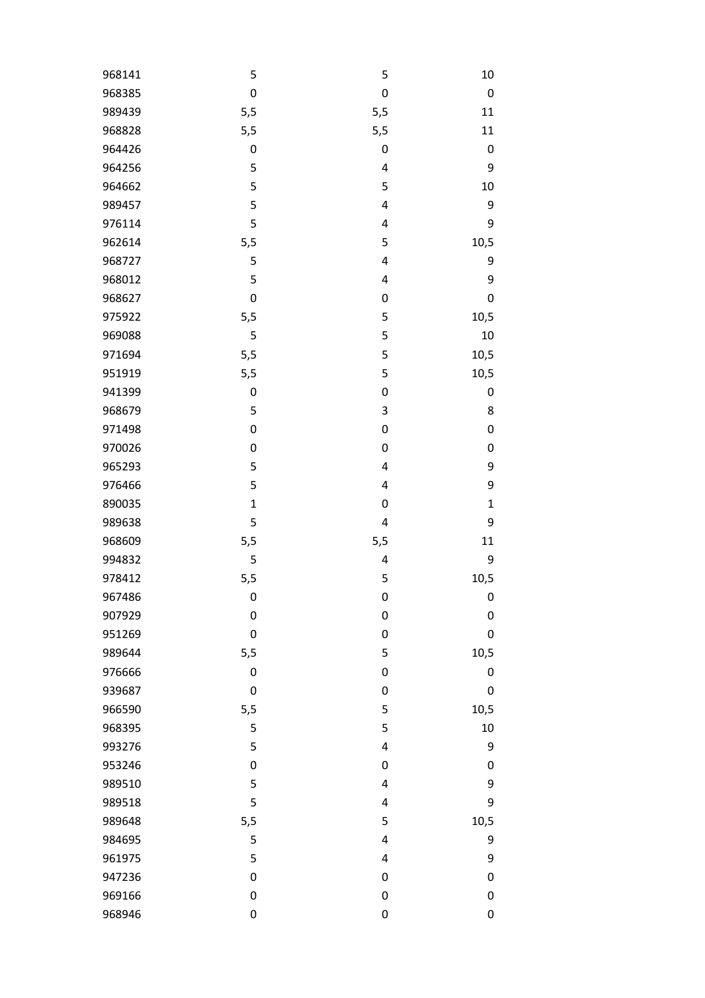| 968141 | 5                | 5                       | 10               |
|--------|------------------|-------------------------|------------------|
| 968385 | $\mathbf 0$      | $\boldsymbol{0}$        | $\pmb{0}$        |
| 989439 | 5,5              | 5,5                     | 11               |
| 968828 | 5,5              | 5,5                     | 11               |
| 964426 | $\pmb{0}$        | $\boldsymbol{0}$        | $\boldsymbol{0}$ |
| 964256 | 5                | 4                       | 9                |
| 964662 | 5                | 5                       | 10               |
| 989457 | 5                | $\overline{\mathbf{4}}$ | 9                |
| 976114 | 5                | $\overline{\mathbf{4}}$ | 9                |
| 962614 | 5,5              | 5                       | 10,5             |
| 968727 | 5                | 4                       | 9                |
| 968012 | 5                | 4                       | 9                |
| 968627 | $\pmb{0}$        | $\boldsymbol{0}$        | $\boldsymbol{0}$ |
| 975922 | 5,5              | 5                       | 10,5             |
| 969088 | 5                | 5                       | 10               |
| 971694 | 5,5              | 5                       | 10,5             |
| 951919 | 5,5              | 5                       | 10,5             |
| 941399 | $\boldsymbol{0}$ | $\boldsymbol{0}$        | 0                |
| 968679 | 5                | $\mathsf 3$             | 8                |
| 971498 | $\boldsymbol{0}$ | $\boldsymbol{0}$        | $\boldsymbol{0}$ |
| 970026 | $\pmb{0}$        | $\boldsymbol{0}$        | 0                |
| 965293 | 5                | 4                       | 9                |
| 976466 | 5                | 4                       | 9                |
| 890035 | $\mathbf{1}$     | $\boldsymbol{0}$        | $\mathbf{1}$     |
| 989638 | 5                | $\overline{\mathbf{4}}$ | 9                |
| 968609 | 5,5              | 5,5                     | 11               |
| 994832 | 5                | 4                       | 9                |
| 978412 | 5,5              | 5                       | 10,5             |
| 967486 | 0                | 0                       | $\Omega$         |
| 907929 | 0                | $\boldsymbol{0}$        | $\boldsymbol{0}$ |
| 951269 | $\boldsymbol{0}$ | $\boldsymbol{0}$        | $\pmb{0}$        |
| 989644 | 5,5              | 5                       | 10,5             |
| 976666 | 0                | $\mathbf 0$             | 0                |
| 939687 | $\boldsymbol{0}$ | $\mathbf 0$             | $\pmb{0}$        |
| 966590 | 5,5              | 5                       | 10,5             |
| 968395 | 5                | 5                       | 10               |
| 993276 | 5                | $\overline{\mathbf{4}}$ | 9                |
| 953246 | 0                | $\mathbf 0$             | 0                |
| 989510 | 5                | $\overline{\mathbf{4}}$ | 9                |
| 989518 | 5                | 4                       | 9                |
| 989648 | 5,5              | 5                       | 10,5             |
| 984695 | 5                | 4                       | 9                |
| 961975 | 5                | 4                       | 9                |
| 947236 | $\boldsymbol{0}$ | $\boldsymbol{0}$        | 0                |
| 969166 | $\pmb{0}$        | $\boldsymbol{0}$        | 0                |
| 968946 | 0                | $\boldsymbol{0}$        | 0                |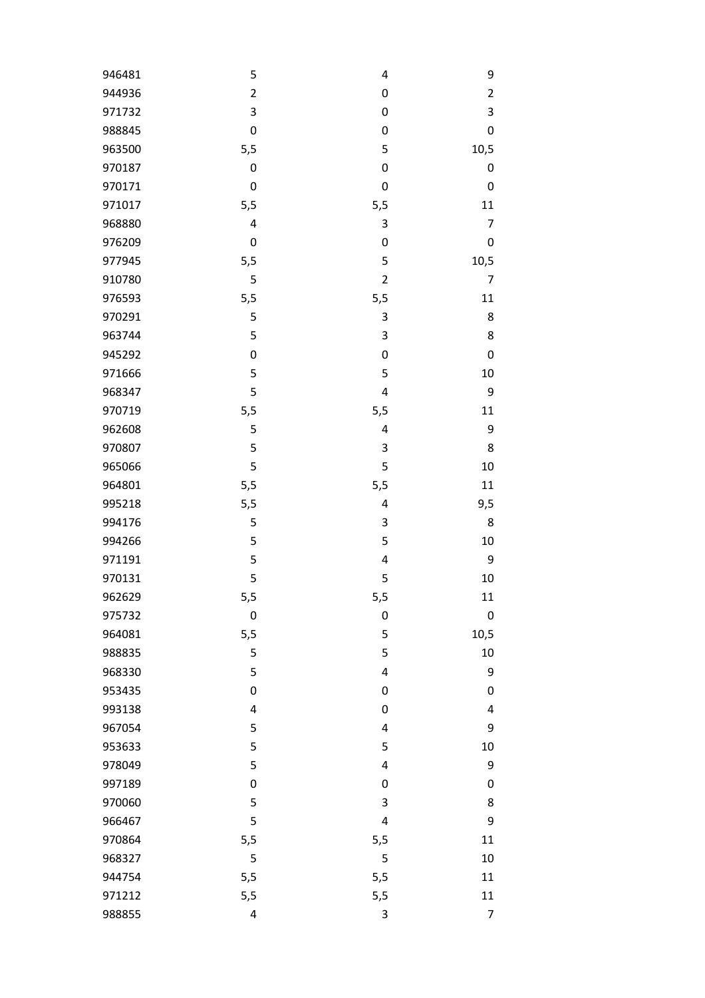| 946481 | 5                | 4                         | 9                |
|--------|------------------|---------------------------|------------------|
| 944936 | $\overline{c}$   | $\boldsymbol{0}$          | $\overline{2}$   |
| 971732 | 3                | $\boldsymbol{0}$          | $\mathsf 3$      |
| 988845 | $\boldsymbol{0}$ | 0                         | $\mathbf 0$      |
| 963500 | 5,5              | 5                         | 10,5             |
| 970187 | 0                | $\boldsymbol{0}$          | $\boldsymbol{0}$ |
| 970171 | $\mathbf 0$      | $\boldsymbol{0}$          | $\mathbf 0$      |
| 971017 | 5,5              | 5,5                       | 11               |
| 968880 | 4                | $\ensuremath{\mathsf{3}}$ | 7                |
| 976209 | $\mathbf 0$      | $\boldsymbol{0}$          | $\mathbf 0$      |
| 977945 | 5,5              | 5                         | 10,5             |
| 910780 | 5                | $\overline{\mathbf{c}}$   | 7                |
| 976593 | 5,5              | 5,5                       | 11               |
| 970291 | 5                | 3                         | 8                |
| 963744 | 5                | 3                         | 8                |
| 945292 | $\pmb{0}$        | $\boldsymbol{0}$          | $\pmb{0}$        |
| 971666 | 5                | 5                         | 10               |
| 968347 | 5                | $\overline{\mathbf{4}}$   | 9                |
| 970719 | 5,5              | 5,5                       | 11               |
| 962608 | 5                | $\overline{\mathbf{r}}$   | 9                |
| 970807 | 5                | $\mathsf 3$               | 8                |
| 965066 | 5                | 5                         | 10               |
| 964801 | 5,5              | 5,5                       | 11               |
| 995218 | 5,5              | 4                         | 9,5              |
| 994176 | 5                | $\mathsf 3$               | 8                |
| 994266 | 5                | 5                         | 10               |
| 971191 | 5                | $\overline{\mathbf{r}}$   | 9                |
| 970131 | 5                | 5                         | 10               |
| 962629 | 5,5              | 5,5                       | 11               |
| 975732 | $\mathbf 0$      | $\mathbf 0$               | $\boldsymbol{0}$ |
| 964081 | 5,5              | 5                         | 10,5             |
| 988835 | 5                | 5                         | 10               |
| 968330 | 5                | $\overline{\mathbf{4}}$   | 9                |
| 953435 | $\mathbf 0$      | $\pmb{0}$                 | $\mathbf 0$      |
| 993138 | 4                | $\boldsymbol{0}$          | $\overline{4}$   |
| 967054 | 5                | $\overline{\mathbf{4}}$   | 9                |
| 953633 | 5                | 5                         | 10               |
| 978049 | 5                | $\overline{\mathbf{4}}$   | 9                |
| 997189 | $\boldsymbol{0}$ | $\boldsymbol{0}$          | $\mathbf 0$      |
| 970060 | 5                | 3                         | 8                |
| 966467 | 5                | 4                         | 9                |
| 970864 | 5,5              | 5,5                       | 11               |
| 968327 | 5                | 5                         | 10               |
| 944754 | 5,5              | 5,5                       | 11               |
| 971212 | 5,5              | 5,5                       | 11               |
| 988855 | 4                | 3                         | 7                |
|        |                  |                           |                  |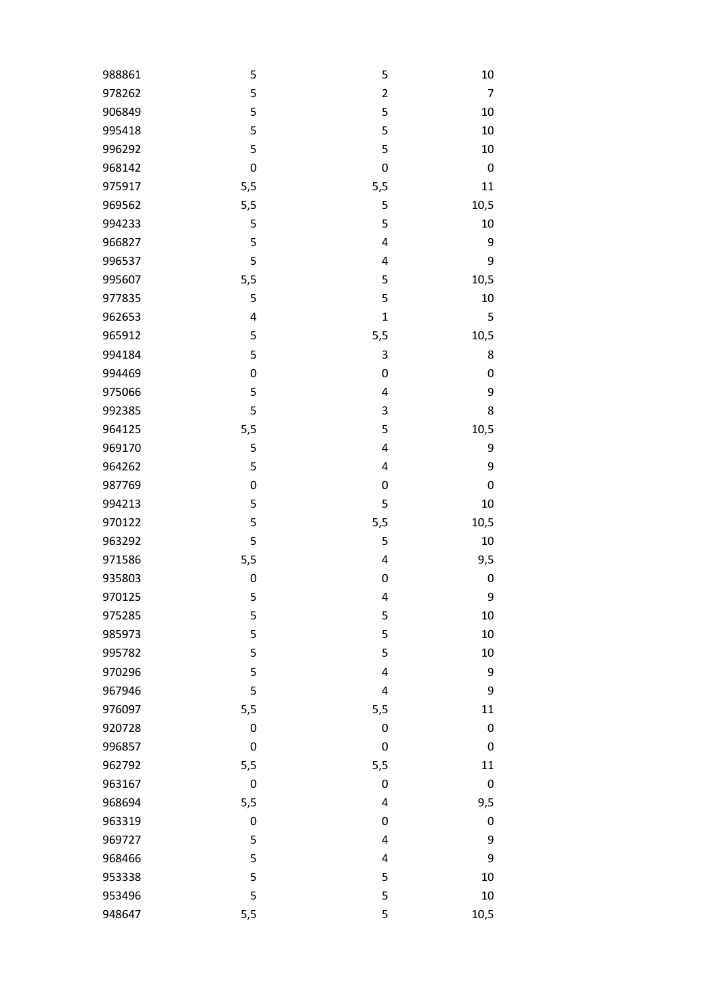| 988861 | 5                | 5                       | 10               |
|--------|------------------|-------------------------|------------------|
| 978262 | 5                | $\overline{c}$          | $\overline{7}$   |
| 906849 | 5                | 5                       | 10               |
| 995418 | 5                | 5                       | 10               |
| 996292 | 5                | 5                       | 10               |
| 968142 | $\mathbf 0$      | $\mathbf 0$             | $\mathbf 0$      |
| 975917 | 5,5              | 5,5                     | 11               |
| 969562 | 5,5              | 5                       | 10,5             |
| 994233 | 5                | 5                       | 10               |
| 966827 | 5                | $\overline{\mathbf{4}}$ | 9                |
| 996537 | 5                | $\overline{\mathbf{4}}$ | 9                |
| 995607 | 5,5              | 5                       | 10,5             |
| 977835 | 5                | 5                       | 10               |
| 962653 | $\pmb{4}$        | $\mathbf{1}$            | 5                |
| 965912 | 5                | 5,5                     | 10,5             |
| 994184 | 5                | $\mathsf 3$             | 8                |
| 994469 | $\boldsymbol{0}$ | 0                       | $\mathbf 0$      |
| 975066 | 5                | $\overline{\mathbf{4}}$ | 9                |
| 992385 | 5                | $\mathsf 3$             | 8                |
| 964125 | 5,5              | 5                       | 10,5             |
| 969170 | 5                | $\overline{\mathbf{4}}$ | 9                |
| 964262 | 5                | 4                       | 9                |
| 987769 | $\mathbf 0$      | $\boldsymbol{0}$        | $\mathbf 0$      |
| 994213 | 5                | 5                       | 10               |
| 970122 | 5                | 5,5                     | 10,5             |
| 963292 | 5                | 5                       | $10\,$           |
| 971586 | 5,5              | $\overline{\mathbf{r}}$ | 9,5              |
| 935803 | $\boldsymbol{0}$ | $\boldsymbol{0}$        | $\boldsymbol{0}$ |
| 970125 | 5                | 4                       | 9                |
| 975285 | 5                | 5                       | 10               |
| 985973 | 5                | 5                       | 10               |
| 995782 | 5                | 5                       | 10               |
| 970296 | 5                | $\overline{\mathbf{4}}$ | 9                |
| 967946 | 5                | 4                       | 9                |
| 976097 | 5,5              | 5,5                     | 11               |
| 920728 | $\boldsymbol{0}$ | $\boldsymbol{0}$        | $\mathbf 0$      |
| 996857 | $\mathbf 0$      | $\mathbf 0$             | $\mathbf 0$      |
| 962792 | 5,5              | 5,5                     | 11               |
| 963167 | $\boldsymbol{0}$ | $\boldsymbol{0}$        | $\boldsymbol{0}$ |
| 968694 | 5,5              | 4                       | 9,5              |
| 963319 | $\boldsymbol{0}$ | 0                       | $\mathbf 0$      |
| 969727 | 5                | $\overline{\mathbf{4}}$ | 9                |
| 968466 | 5                | 4                       | 9                |
| 953338 | 5                | 5                       | 10               |
| 953496 | 5                | 5                       | 10               |
| 948647 | 5,5              | 5                       | 10,5             |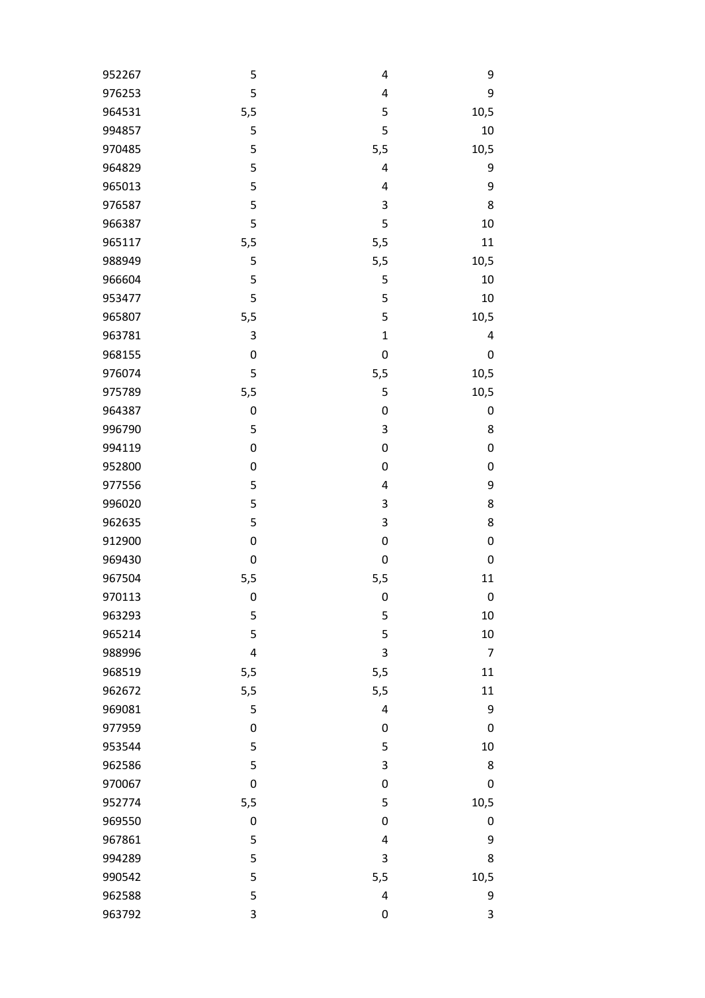| 952267 | 5                | 4                | 9         |
|--------|------------------|------------------|-----------|
| 976253 | 5                | 4                | 9         |
| 964531 | 5,5              | 5                | 10,5      |
| 994857 | 5                | 5                | 10        |
| 970485 | 5                | 5,5              | 10,5      |
| 964829 | 5                | 4                | 9         |
| 965013 | 5                | 4                | 9         |
| 976587 | 5                | 3                | 8         |
| 966387 | 5                | 5                | 10        |
| 965117 | 5,5              | 5,5              | 11        |
| 988949 | 5                | 5,5              | 10,5      |
| 966604 | 5                | 5                | 10        |
| 953477 | 5                | 5                | 10        |
| 965807 | 5,5              | 5                | 10,5      |
| 963781 | 3                | $\mathbf{1}$     | 4         |
| 968155 | $\pmb{0}$        | $\boldsymbol{0}$ | $\pmb{0}$ |
| 976074 | 5                | 5,5              | 10,5      |
| 975789 | 5,5              | 5                | 10,5      |
| 964387 | $\mathbf 0$      | $\boldsymbol{0}$ | 0         |
| 996790 | 5                | 3                | 8         |
| 994119 | $\boldsymbol{0}$ | $\boldsymbol{0}$ | 0         |
| 952800 | $\pmb{0}$        | $\boldsymbol{0}$ | 0         |
| 977556 | 5                | 4                | 9         |
| 996020 | 5                | 3                | 8         |
| 962635 | 5                | 3                | 8         |
| 912900 | $\pmb{0}$        | 0                | 0         |
| 969430 | $\mathbf 0$      | $\boldsymbol{0}$ | 0         |
| 967504 | 5,5              | 5,5              | 11        |
| 970113 | $\pmb{0}$        | $\pmb{0}$        | $\pmb{0}$ |
| 963293 | 5                | 5                | 10        |
| 965214 | 5                | 5                | 10        |
| 988996 | $\overline{4}$   | 3                | 7         |
| 968519 | 5,5              | 5,5              | 11        |
| 962672 | 5,5              | 5,5              | 11        |
| 969081 | 5                | 4                | 9         |
| 977959 | $\pmb{0}$        | $\boldsymbol{0}$ | $\pmb{0}$ |
| 953544 | 5                | 5                | 10        |
| 962586 | 5                | 3                | 8         |
| 970067 | $\boldsymbol{0}$ | $\mathbf 0$      | 0         |
| 952774 | 5,5              | 5                | 10,5      |
| 969550 | $\pmb{0}$        | $\boldsymbol{0}$ | 0         |
| 967861 | 5                | 4                | 9         |
| 994289 | 5                | 3                | 8         |
| 990542 | 5                |                  |           |
| 962588 |                  | 5,5              | 10,5      |
|        | 5                | 4                | 9         |
| 963792 | 3                | 0                | 3         |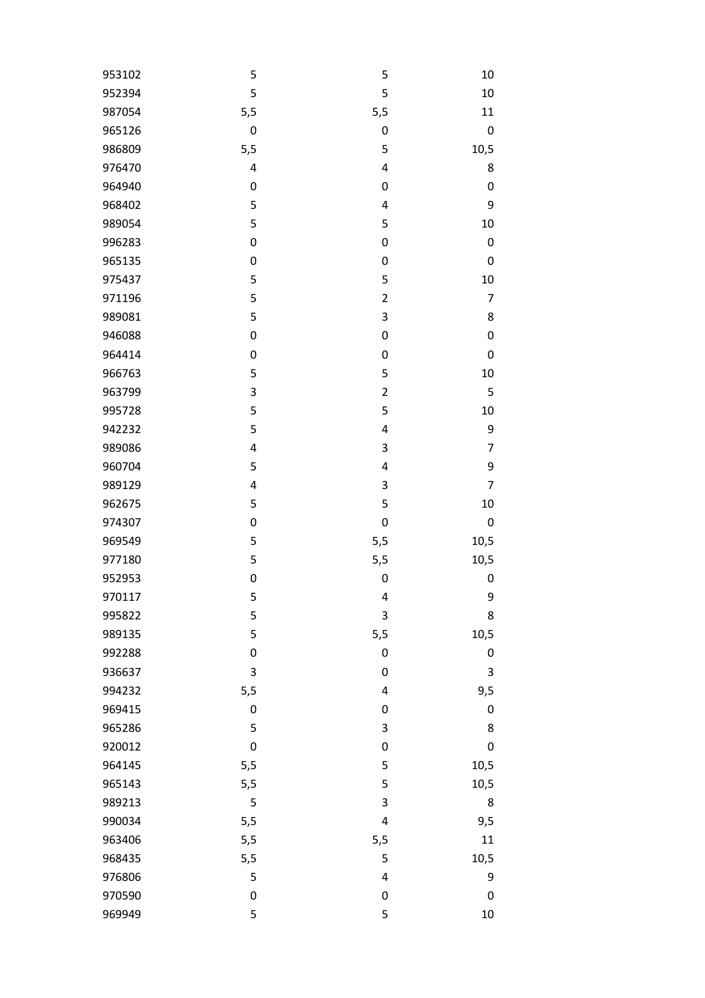| 953102 | 5                | 5                       | 10               |
|--------|------------------|-------------------------|------------------|
| 952394 | 5                | 5                       | 10               |
| 987054 | 5,5              | 5,5                     | 11               |
| 965126 | $\boldsymbol{0}$ | $\pmb{0}$               | $\boldsymbol{0}$ |
| 986809 | 5,5              | 5                       | 10,5             |
| 976470 | 4                | $\overline{\mathbf{4}}$ | 8                |
| 964940 | $\boldsymbol{0}$ | $\boldsymbol{0}$        | $\boldsymbol{0}$ |
| 968402 | 5                | $\overline{\mathbf{r}}$ | 9                |
| 989054 | 5                | 5                       | 10               |
| 996283 | $\boldsymbol{0}$ | $\boldsymbol{0}$        | $\mathbf 0$      |
| 965135 | $\mathbf 0$      | $\boldsymbol{0}$        | $\mathbf 0$      |
| 975437 | 5                | 5                       | 10               |
| 971196 | 5                | $\overline{\mathbf{c}}$ | 7                |
| 989081 | 5                | $\mathsf 3$             | 8                |
| 946088 | $\mathbf 0$      | $\boldsymbol{0}$        | $\boldsymbol{0}$ |
| 964414 | $\boldsymbol{0}$ | $\boldsymbol{0}$        | $\mathbf 0$      |
| 966763 | 5                | 5                       | 10               |
| 963799 | 3                | $\overline{\mathbf{c}}$ | 5                |
| 995728 | 5                | 5                       | 10               |
| 942232 | 5                | $\overline{\mathbf{r}}$ | 9                |
| 989086 | 4                | 3                       | 7                |
| 960704 | 5                | $\overline{\mathbf{4}}$ | 9                |
| 989129 | $\pmb{4}$        | $\mathsf 3$             | 7                |
| 962675 | 5                | 5                       | 10               |
| 974307 | $\boldsymbol{0}$ | $\boldsymbol{0}$        | $\mathbf 0$      |
| 969549 | 5                | 5,5                     | 10,5             |
| 977180 | 5                | 5,5                     | 10,5             |
| 952953 | $\mathbf 0$      | $\pmb{0}$               | $\boldsymbol{0}$ |
| 970117 | 5                | 4                       | 9                |
| 995822 | 5                | $\mathsf 3$             | 8                |
| 989135 | 5                | 5,5                     | 10,5             |
| 992288 | $\boldsymbol{0}$ | $\boldsymbol{0}$        | 0                |
| 936637 | 3                | $\boldsymbol{0}$        | 3                |
| 994232 | 5,5              | $\overline{\mathbf{4}}$ | 9,5              |
| 969415 | $\pmb{0}$        | $\boldsymbol{0}$        | $\mathbf 0$      |
| 965286 | 5                | $\mathsf 3$             | 8                |
| 920012 | $\mathbf 0$      | $\boldsymbol{0}$        | $\mathbf 0$      |
| 964145 | 5,5              | 5                       | 10,5             |
| 965143 | 5,5              | 5                       | 10,5             |
| 989213 | 5                | 3                       | 8                |
| 990034 | 5,5              | $\overline{\mathbf{4}}$ | 9,5              |
| 963406 | 5,5              | 5,5                     | 11               |
| 968435 | 5,5              | 5                       | 10,5             |
| 976806 | 5                | $\overline{\mathbf{4}}$ | 9                |
| 970590 | $\boldsymbol{0}$ | $\pmb{0}$               | $\mathbf 0$      |
| 969949 | 5                | 5                       | 10               |
|        |                  |                         |                  |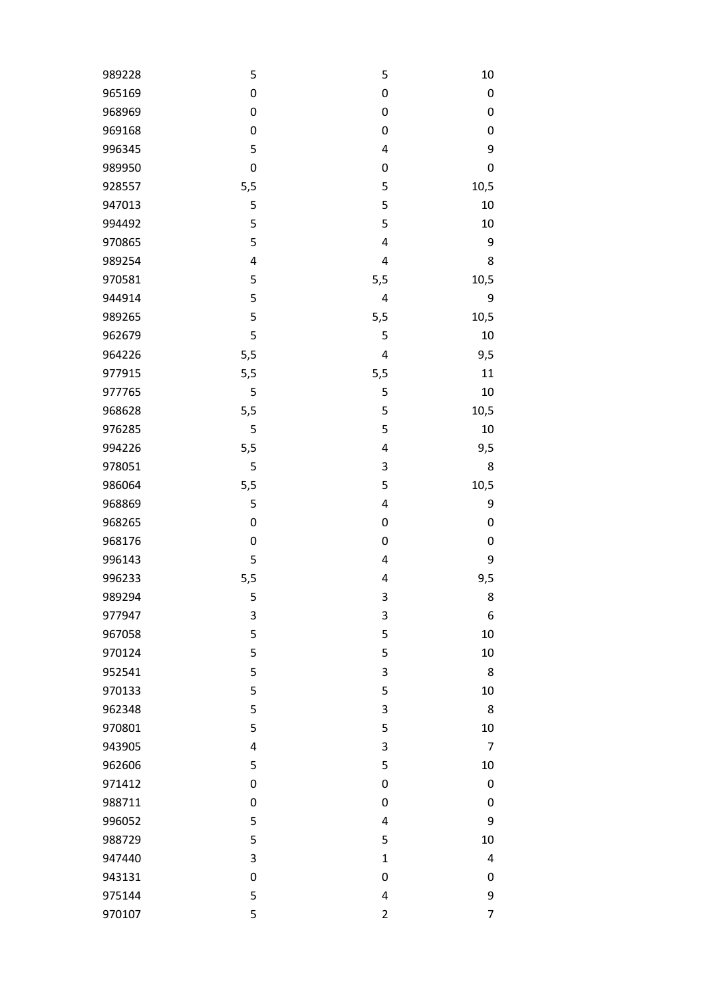| 989228 | 5                | 5                       | 10             |
|--------|------------------|-------------------------|----------------|
| 965169 | $\boldsymbol{0}$ | $\boldsymbol{0}$        | $\pmb{0}$      |
| 968969 | $\mathbf 0$      | $\boldsymbol{0}$        | 0              |
| 969168 | $\pmb{0}$        | $\boldsymbol{0}$        | 0              |
| 996345 | 5                | 4                       | 9              |
| 989950 | $\mathbf 0$      | $\boldsymbol{0}$        | 0              |
| 928557 | 5,5              | 5                       | 10,5           |
| 947013 | 5                | 5                       | 10             |
| 994492 | 5                | 5                       | 10             |
| 970865 | 5                | 4                       | 9              |
| 989254 | $\overline{4}$   | 4                       | 8              |
| 970581 | 5                | 5,5                     | 10,5           |
| 944914 | 5                | 4                       | 9              |
| 989265 | 5                | 5,5                     | 10,5           |
| 962679 | 5                | 5                       | 10             |
| 964226 | 5,5              | 4                       | 9,5            |
| 977915 | 5,5              | 5,5                     | 11             |
| 977765 | 5                | 5                       | 10             |
| 968628 | 5,5              | 5                       | 10,5           |
| 976285 | 5                | 5                       | 10             |
| 994226 | 5,5              | 4                       | 9,5            |
| 978051 | 5                | 3                       | 8              |
| 986064 | 5,5              | 5                       | 10,5           |
| 968869 | 5                | 4                       | 9              |
| 968265 | $\pmb{0}$        | $\boldsymbol{0}$        | 0              |
| 968176 | $\mathbf 0$      | $\boldsymbol{0}$        | 0              |
| 996143 | 5                | 4                       | 9              |
| 996233 | 5,5              | 4                       | 9,5            |
| 989294 | 5                | 3                       | 8              |
| 977947 | 3                | 3                       | 6              |
| 967058 | 5                | 5                       | 10             |
| 970124 | 5                | 5                       | 10             |
| 952541 | 5                | 3                       | 8              |
| 970133 | 5                | 5                       | 10             |
| 962348 | 5                | 3                       | 8              |
| 970801 | 5                | 5                       | 10             |
| 943905 | 4                | 3                       | $\overline{7}$ |
| 962606 | 5                | 5                       | 10             |
| 971412 | $\boldsymbol{0}$ | $\mathbf 0$             | 0              |
| 988711 | $\pmb{0}$        | $\boldsymbol{0}$        | 0              |
| 996052 | 5                | 4                       | 9              |
| 988729 | 5                | 5                       | 10             |
| 947440 | 3                | $\mathbf 1$             | 4              |
| 943131 | $\pmb{0}$        | $\boldsymbol{0}$        | 0              |
| 975144 | 5                | 4                       | 9              |
|        |                  |                         | 7              |
| 970107 | 5                | $\overline{\mathbf{c}}$ |                |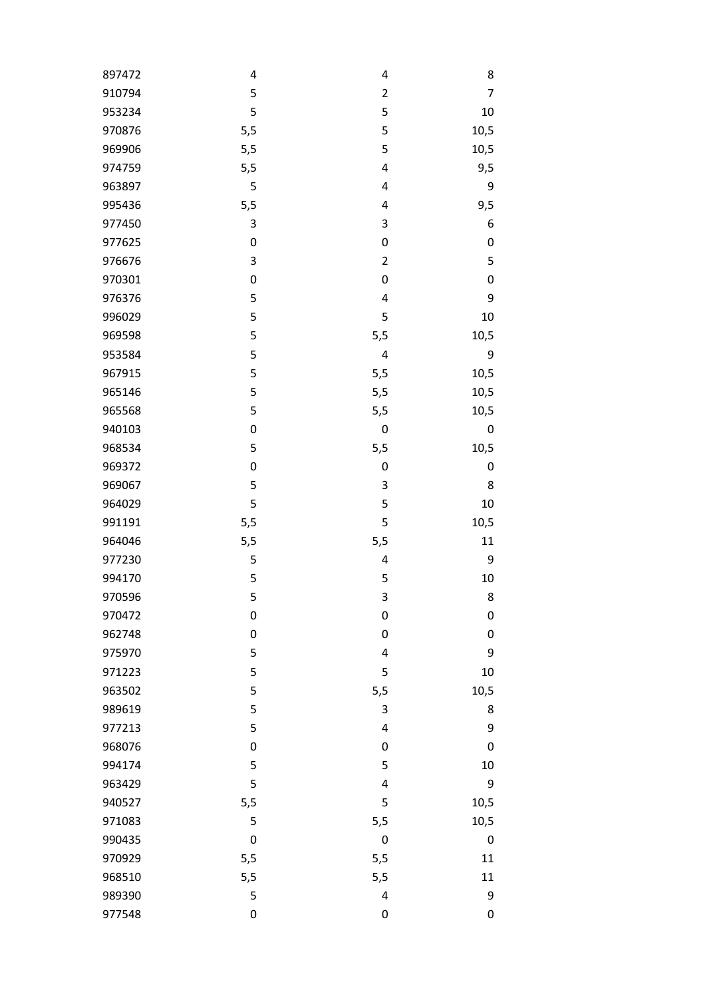| 897472 | 4                | 4                       | 8                |
|--------|------------------|-------------------------|------------------|
| 910794 | 5                | $\overline{2}$          | 7                |
| 953234 | 5                | 5                       | 10               |
| 970876 | 5,5              | 5                       | 10,5             |
| 969906 | 5,5              | 5                       | 10,5             |
| 974759 | 5,5              | $\overline{\mathbf{4}}$ | 9,5              |
| 963897 | 5                | 4                       | 9                |
| 995436 | 5,5              | 4                       | 9,5              |
| 977450 | 3                | 3                       | 6                |
| 977625 | $\boldsymbol{0}$ | $\boldsymbol{0}$        | 0                |
| 976676 | 3                | $\mathbf{2}$            | 5                |
| 970301 | $\boldsymbol{0}$ | $\pmb{0}$               | $\pmb{0}$        |
| 976376 | 5                | 4                       | 9                |
| 996029 | 5                | 5                       | 10               |
| 969598 | 5                | 5,5                     | 10,5             |
| 953584 | 5                | 4                       | 9                |
| 967915 | 5                | 5,5                     | 10,5             |
| 965146 | 5                | 5,5                     | 10,5             |
| 965568 | 5                | 5,5                     | 10,5             |
| 940103 | 0                | $\boldsymbol{0}$        | 0                |
| 968534 | 5                | 5,5                     | 10,5             |
| 969372 | $\boldsymbol{0}$ | $\pmb{0}$               | $\boldsymbol{0}$ |
| 969067 | 5                | 3                       | 8                |
| 964029 | 5                | 5                       | 10               |
| 991191 | 5,5              | 5                       | 10,5             |
| 964046 | 5,5              | 5,5                     | 11               |
| 977230 | 5                | 4                       | 9                |
| 994170 | 5                | 5                       | 10               |
| 970596 | 5                | 3                       | 8                |
| 970472 | 0                | $\mathbf 0$             | $\boldsymbol{0}$ |
| 962748 | $\boldsymbol{0}$ | $\boldsymbol{0}$        | $\mathbf 0$      |
| 975970 | 5                | $\overline{\mathbf{4}}$ | 9                |
| 971223 | 5                | 5                       | 10               |
| 963502 | 5                | 5,5                     | 10,5             |
| 989619 | 5                | 3                       | 8                |
| 977213 | 5                | 4                       | 9                |
| 968076 | $\boldsymbol{0}$ | $\boldsymbol{0}$        | $\mathbf 0$      |
| 994174 | 5                | 5                       | 10               |
| 963429 | 5                | 4                       | 9                |
| 940527 | 5,5              | 5                       | 10,5             |
| 971083 | 5                | 5,5                     | 10,5             |
| 990435 | $\boldsymbol{0}$ | $\boldsymbol{0}$        | $\boldsymbol{0}$ |
| 970929 | 5,5              | 5,5                     | 11               |
| 968510 | 5,5              | 5,5                     | 11               |
| 989390 | 5                | $\overline{\mathbf{4}}$ | 9                |
| 977548 | $\boldsymbol{0}$ | $\pmb{0}$               | 0                |
|        |                  |                         |                  |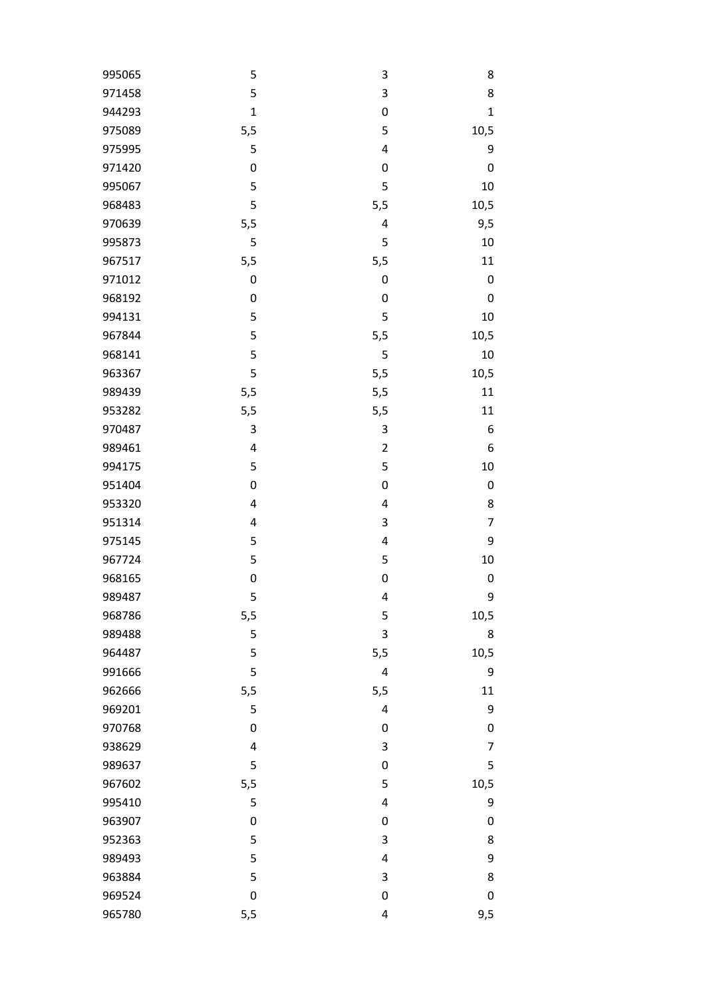| 995065 | 5                | 3                       | 8                |
|--------|------------------|-------------------------|------------------|
| 971458 | 5                | 3                       | 8                |
| 944293 | $\mathbf{1}$     | $\boldsymbol{0}$        | $\mathbf{1}$     |
| 975089 | 5,5              | 5                       | 10,5             |
| 975995 | 5                | $\overline{\mathbf{4}}$ | 9                |
| 971420 | $\boldsymbol{0}$ | $\mathbf 0$             | $\pmb{0}$        |
| 995067 | 5                | 5                       | 10               |
| 968483 | 5                | 5,5                     | 10,5             |
| 970639 | 5,5              | 4                       | 9,5              |
| 995873 | 5                | 5                       | 10               |
| 967517 | 5,5              | 5,5                     | 11               |
| 971012 | $\boldsymbol{0}$ | $\boldsymbol{0}$        | $\boldsymbol{0}$ |
| 968192 | $\boldsymbol{0}$ | $\boldsymbol{0}$        | $\pmb{0}$        |
| 994131 | 5                | 5                       | 10               |
| 967844 | 5                | 5,5                     | 10,5             |
| 968141 | 5                | 5                       | $10\,$           |
| 963367 | 5                | 5,5                     | 10,5             |
| 989439 | 5,5              | 5,5                     | 11               |
| 953282 | 5,5              | 5,5                     | 11               |
| 970487 | 3                | 3                       | 6                |
| 989461 | 4                | $\overline{2}$          | 6                |
| 994175 | 5                | 5                       | 10               |
| 951404 | $\boldsymbol{0}$ | $\boldsymbol{0}$        | $\boldsymbol{0}$ |
| 953320 | 4                | $\overline{\mathbf{4}}$ | 8                |
| 951314 | 4                | 3                       | 7                |
| 975145 | 5                | $\overline{\mathbf{4}}$ | 9                |
| 967724 | 5                | 5                       | 10               |
| 968165 | $\boldsymbol{0}$ | $\boldsymbol{0}$        | $\boldsymbol{0}$ |
| 989487 | 5                | 4                       | 9                |
| 968786 | 5,5              | 5                       | 10,5             |
| 989488 | 5                | 3                       | 8                |
| 964487 | 5                | 5,5                     | 10,5             |
| 991666 | 5                | 4                       | 9                |
| 962666 | 5,5              | 5,5                     | 11               |
| 969201 | 5                | 4                       | 9                |
| 970768 | $\boldsymbol{0}$ | $\boldsymbol{0}$        | 0                |
| 938629 | 4                | 3                       | 7                |
| 989637 | 5                | $\boldsymbol{0}$        | 5                |
| 967602 | 5,5              | 5                       | 10,5             |
| 995410 | 5                | 4                       | 9                |
| 963907 | 0                | $\boldsymbol{0}$        | 0                |
| 952363 | 5                | 3                       | 8                |
| 989493 | 5                | 4                       | 9                |
| 963884 | 5                | 3                       | 8                |
| 969524 | $\boldsymbol{0}$ | $\boldsymbol{0}$        | $\boldsymbol{0}$ |
| 965780 | 5,5              | 4                       | 9,5              |
|        |                  |                         |                  |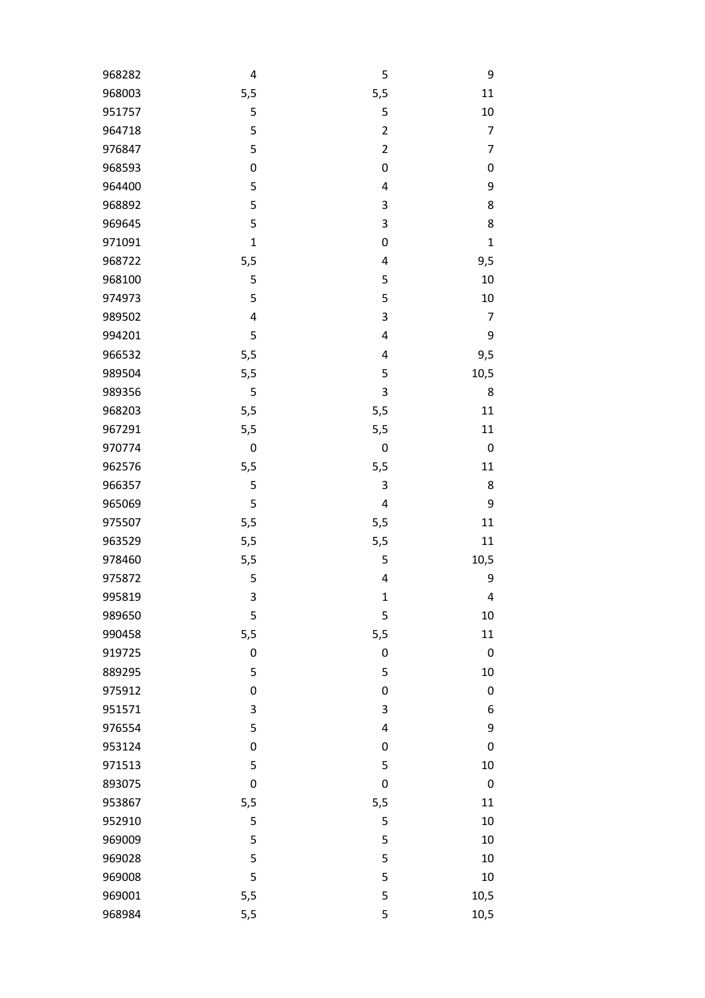| 5,5<br>968003<br>5,5<br>11<br>951757<br>5<br>5<br>10<br>5<br>$\overline{\mathbf{c}}$<br>964718<br>7<br>5<br>$\overline{2}$<br>976847<br>7<br>968593<br>$\boldsymbol{0}$<br>$\pmb{0}$<br>$\pmb{0}$<br>5<br>9<br>964400<br>$\overline{\mathbf{4}}$<br>5<br>968892<br>$\mathsf 3$<br>8<br>5<br>3<br>8<br>969645<br>971091<br>$\mathbf{1}$<br>$\boldsymbol{0}$<br>$\mathbf{1}$<br>968722<br>$\overline{\mathbf{4}}$<br>5,5<br>9,5<br>5<br>5<br>968100<br>10<br>974973<br>5<br>5<br>10<br>$\mathsf 3$<br>989502<br>4<br>7<br>5<br>$\overline{\mathbf{4}}$<br>994201<br>9<br>966532<br>5,5<br>$\overline{\mathbf{4}}$<br>9,5<br>5,5<br>989504<br>5<br>10,5<br>3<br>989356<br>5<br>8<br>968203<br>5,5<br>5,5<br>11<br>5,5<br>967291<br>5,5<br>11<br>970774<br>$\boldsymbol{0}$<br>$\pmb{0}$<br>$\mathbf 0$<br>962576<br>5,5<br>5,5<br>11<br>5<br>3<br>966357<br>8<br>5<br>965069<br>$\overline{4}$<br>9<br>975507<br>5,5<br>5,5<br>11<br>5,5<br>5,5<br>963529<br>11<br>978460<br>5,5<br>10,5<br>5<br>5<br>9<br>975872<br>4<br>995819<br>3<br>$\mathbf 1$<br>4<br>989650<br>5<br>5<br>10<br>990458<br>5,5<br>5,5<br>11<br>919725<br>$\boldsymbol{0}$<br>$\pmb{0}$<br>$\mathbf 0$<br>5<br>5<br>889295<br>10<br>975912<br>$\boldsymbol{0}$<br>$\boldsymbol{0}$<br>$\pmb{0}$<br>951571<br>3<br>$\mathsf 3$<br>6<br>5<br>9<br>976554<br>4<br>953124<br>$\boldsymbol{0}$<br>$\boldsymbol{0}$<br>$\mathbf 0$<br>971513<br>5<br>5<br>10<br>893075<br>$\mathbf 0$<br>$\boldsymbol{0}$<br>$\boldsymbol{0}$<br>953867<br>5,5<br>5,5<br>11<br>952910<br>5<br>5<br>10<br>969009<br>5<br>5<br>10<br>969028<br>5<br>5<br>10<br>5<br>5<br>969008<br>10<br>969001<br>5<br>10,5<br>5,5 | 968282 | 4 | 5 | 9 |
|---------------------------------------------------------------------------------------------------------------------------------------------------------------------------------------------------------------------------------------------------------------------------------------------------------------------------------------------------------------------------------------------------------------------------------------------------------------------------------------------------------------------------------------------------------------------------------------------------------------------------------------------------------------------------------------------------------------------------------------------------------------------------------------------------------------------------------------------------------------------------------------------------------------------------------------------------------------------------------------------------------------------------------------------------------------------------------------------------------------------------------------------------------------------------------------------------------------------------------------------------------------------------------------------------------------------------------------------------------------------------------------------------------------------------------------------------------------------------------------------------------------------------------------------------------------------------------------------------------------------------------------------------------------|--------|---|---|---|
|                                                                                                                                                                                                                                                                                                                                                                                                                                                                                                                                                                                                                                                                                                                                                                                                                                                                                                                                                                                                                                                                                                                                                                                                                                                                                                                                                                                                                                                                                                                                                                                                                                                               |        |   |   |   |
|                                                                                                                                                                                                                                                                                                                                                                                                                                                                                                                                                                                                                                                                                                                                                                                                                                                                                                                                                                                                                                                                                                                                                                                                                                                                                                                                                                                                                                                                                                                                                                                                                                                               |        |   |   |   |
|                                                                                                                                                                                                                                                                                                                                                                                                                                                                                                                                                                                                                                                                                                                                                                                                                                                                                                                                                                                                                                                                                                                                                                                                                                                                                                                                                                                                                                                                                                                                                                                                                                                               |        |   |   |   |
|                                                                                                                                                                                                                                                                                                                                                                                                                                                                                                                                                                                                                                                                                                                                                                                                                                                                                                                                                                                                                                                                                                                                                                                                                                                                                                                                                                                                                                                                                                                                                                                                                                                               |        |   |   |   |
|                                                                                                                                                                                                                                                                                                                                                                                                                                                                                                                                                                                                                                                                                                                                                                                                                                                                                                                                                                                                                                                                                                                                                                                                                                                                                                                                                                                                                                                                                                                                                                                                                                                               |        |   |   |   |
|                                                                                                                                                                                                                                                                                                                                                                                                                                                                                                                                                                                                                                                                                                                                                                                                                                                                                                                                                                                                                                                                                                                                                                                                                                                                                                                                                                                                                                                                                                                                                                                                                                                               |        |   |   |   |
|                                                                                                                                                                                                                                                                                                                                                                                                                                                                                                                                                                                                                                                                                                                                                                                                                                                                                                                                                                                                                                                                                                                                                                                                                                                                                                                                                                                                                                                                                                                                                                                                                                                               |        |   |   |   |
|                                                                                                                                                                                                                                                                                                                                                                                                                                                                                                                                                                                                                                                                                                                                                                                                                                                                                                                                                                                                                                                                                                                                                                                                                                                                                                                                                                                                                                                                                                                                                                                                                                                               |        |   |   |   |
|                                                                                                                                                                                                                                                                                                                                                                                                                                                                                                                                                                                                                                                                                                                                                                                                                                                                                                                                                                                                                                                                                                                                                                                                                                                                                                                                                                                                                                                                                                                                                                                                                                                               |        |   |   |   |
|                                                                                                                                                                                                                                                                                                                                                                                                                                                                                                                                                                                                                                                                                                                                                                                                                                                                                                                                                                                                                                                                                                                                                                                                                                                                                                                                                                                                                                                                                                                                                                                                                                                               |        |   |   |   |
|                                                                                                                                                                                                                                                                                                                                                                                                                                                                                                                                                                                                                                                                                                                                                                                                                                                                                                                                                                                                                                                                                                                                                                                                                                                                                                                                                                                                                                                                                                                                                                                                                                                               |        |   |   |   |
|                                                                                                                                                                                                                                                                                                                                                                                                                                                                                                                                                                                                                                                                                                                                                                                                                                                                                                                                                                                                                                                                                                                                                                                                                                                                                                                                                                                                                                                                                                                                                                                                                                                               |        |   |   |   |
|                                                                                                                                                                                                                                                                                                                                                                                                                                                                                                                                                                                                                                                                                                                                                                                                                                                                                                                                                                                                                                                                                                                                                                                                                                                                                                                                                                                                                                                                                                                                                                                                                                                               |        |   |   |   |
|                                                                                                                                                                                                                                                                                                                                                                                                                                                                                                                                                                                                                                                                                                                                                                                                                                                                                                                                                                                                                                                                                                                                                                                                                                                                                                                                                                                                                                                                                                                                                                                                                                                               |        |   |   |   |
|                                                                                                                                                                                                                                                                                                                                                                                                                                                                                                                                                                                                                                                                                                                                                                                                                                                                                                                                                                                                                                                                                                                                                                                                                                                                                                                                                                                                                                                                                                                                                                                                                                                               |        |   |   |   |
|                                                                                                                                                                                                                                                                                                                                                                                                                                                                                                                                                                                                                                                                                                                                                                                                                                                                                                                                                                                                                                                                                                                                                                                                                                                                                                                                                                                                                                                                                                                                                                                                                                                               |        |   |   |   |
|                                                                                                                                                                                                                                                                                                                                                                                                                                                                                                                                                                                                                                                                                                                                                                                                                                                                                                                                                                                                                                                                                                                                                                                                                                                                                                                                                                                                                                                                                                                                                                                                                                                               |        |   |   |   |
|                                                                                                                                                                                                                                                                                                                                                                                                                                                                                                                                                                                                                                                                                                                                                                                                                                                                                                                                                                                                                                                                                                                                                                                                                                                                                                                                                                                                                                                                                                                                                                                                                                                               |        |   |   |   |
|                                                                                                                                                                                                                                                                                                                                                                                                                                                                                                                                                                                                                                                                                                                                                                                                                                                                                                                                                                                                                                                                                                                                                                                                                                                                                                                                                                                                                                                                                                                                                                                                                                                               |        |   |   |   |
|                                                                                                                                                                                                                                                                                                                                                                                                                                                                                                                                                                                                                                                                                                                                                                                                                                                                                                                                                                                                                                                                                                                                                                                                                                                                                                                                                                                                                                                                                                                                                                                                                                                               |        |   |   |   |
|                                                                                                                                                                                                                                                                                                                                                                                                                                                                                                                                                                                                                                                                                                                                                                                                                                                                                                                                                                                                                                                                                                                                                                                                                                                                                                                                                                                                                                                                                                                                                                                                                                                               |        |   |   |   |
|                                                                                                                                                                                                                                                                                                                                                                                                                                                                                                                                                                                                                                                                                                                                                                                                                                                                                                                                                                                                                                                                                                                                                                                                                                                                                                                                                                                                                                                                                                                                                                                                                                                               |        |   |   |   |
|                                                                                                                                                                                                                                                                                                                                                                                                                                                                                                                                                                                                                                                                                                                                                                                                                                                                                                                                                                                                                                                                                                                                                                                                                                                                                                                                                                                                                                                                                                                                                                                                                                                               |        |   |   |   |
|                                                                                                                                                                                                                                                                                                                                                                                                                                                                                                                                                                                                                                                                                                                                                                                                                                                                                                                                                                                                                                                                                                                                                                                                                                                                                                                                                                                                                                                                                                                                                                                                                                                               |        |   |   |   |
|                                                                                                                                                                                                                                                                                                                                                                                                                                                                                                                                                                                                                                                                                                                                                                                                                                                                                                                                                                                                                                                                                                                                                                                                                                                                                                                                                                                                                                                                                                                                                                                                                                                               |        |   |   |   |
|                                                                                                                                                                                                                                                                                                                                                                                                                                                                                                                                                                                                                                                                                                                                                                                                                                                                                                                                                                                                                                                                                                                                                                                                                                                                                                                                                                                                                                                                                                                                                                                                                                                               |        |   |   |   |
|                                                                                                                                                                                                                                                                                                                                                                                                                                                                                                                                                                                                                                                                                                                                                                                                                                                                                                                                                                                                                                                                                                                                                                                                                                                                                                                                                                                                                                                                                                                                                                                                                                                               |        |   |   |   |
|                                                                                                                                                                                                                                                                                                                                                                                                                                                                                                                                                                                                                                                                                                                                                                                                                                                                                                                                                                                                                                                                                                                                                                                                                                                                                                                                                                                                                                                                                                                                                                                                                                                               |        |   |   |   |
|                                                                                                                                                                                                                                                                                                                                                                                                                                                                                                                                                                                                                                                                                                                                                                                                                                                                                                                                                                                                                                                                                                                                                                                                                                                                                                                                                                                                                                                                                                                                                                                                                                                               |        |   |   |   |
|                                                                                                                                                                                                                                                                                                                                                                                                                                                                                                                                                                                                                                                                                                                                                                                                                                                                                                                                                                                                                                                                                                                                                                                                                                                                                                                                                                                                                                                                                                                                                                                                                                                               |        |   |   |   |
|                                                                                                                                                                                                                                                                                                                                                                                                                                                                                                                                                                                                                                                                                                                                                                                                                                                                                                                                                                                                                                                                                                                                                                                                                                                                                                                                                                                                                                                                                                                                                                                                                                                               |        |   |   |   |
|                                                                                                                                                                                                                                                                                                                                                                                                                                                                                                                                                                                                                                                                                                                                                                                                                                                                                                                                                                                                                                                                                                                                                                                                                                                                                                                                                                                                                                                                                                                                                                                                                                                               |        |   |   |   |
|                                                                                                                                                                                                                                                                                                                                                                                                                                                                                                                                                                                                                                                                                                                                                                                                                                                                                                                                                                                                                                                                                                                                                                                                                                                                                                                                                                                                                                                                                                                                                                                                                                                               |        |   |   |   |
|                                                                                                                                                                                                                                                                                                                                                                                                                                                                                                                                                                                                                                                                                                                                                                                                                                                                                                                                                                                                                                                                                                                                                                                                                                                                                                                                                                                                                                                                                                                                                                                                                                                               |        |   |   |   |
|                                                                                                                                                                                                                                                                                                                                                                                                                                                                                                                                                                                                                                                                                                                                                                                                                                                                                                                                                                                                                                                                                                                                                                                                                                                                                                                                                                                                                                                                                                                                                                                                                                                               |        |   |   |   |
|                                                                                                                                                                                                                                                                                                                                                                                                                                                                                                                                                                                                                                                                                                                                                                                                                                                                                                                                                                                                                                                                                                                                                                                                                                                                                                                                                                                                                                                                                                                                                                                                                                                               |        |   |   |   |
|                                                                                                                                                                                                                                                                                                                                                                                                                                                                                                                                                                                                                                                                                                                                                                                                                                                                                                                                                                                                                                                                                                                                                                                                                                                                                                                                                                                                                                                                                                                                                                                                                                                               |        |   |   |   |
|                                                                                                                                                                                                                                                                                                                                                                                                                                                                                                                                                                                                                                                                                                                                                                                                                                                                                                                                                                                                                                                                                                                                                                                                                                                                                                                                                                                                                                                                                                                                                                                                                                                               |        |   |   |   |
|                                                                                                                                                                                                                                                                                                                                                                                                                                                                                                                                                                                                                                                                                                                                                                                                                                                                                                                                                                                                                                                                                                                                                                                                                                                                                                                                                                                                                                                                                                                                                                                                                                                               |        |   |   |   |
|                                                                                                                                                                                                                                                                                                                                                                                                                                                                                                                                                                                                                                                                                                                                                                                                                                                                                                                                                                                                                                                                                                                                                                                                                                                                                                                                                                                                                                                                                                                                                                                                                                                               |        |   |   |   |
|                                                                                                                                                                                                                                                                                                                                                                                                                                                                                                                                                                                                                                                                                                                                                                                                                                                                                                                                                                                                                                                                                                                                                                                                                                                                                                                                                                                                                                                                                                                                                                                                                                                               |        |   |   |   |
|                                                                                                                                                                                                                                                                                                                                                                                                                                                                                                                                                                                                                                                                                                                                                                                                                                                                                                                                                                                                                                                                                                                                                                                                                                                                                                                                                                                                                                                                                                                                                                                                                                                               |        |   |   |   |
|                                                                                                                                                                                                                                                                                                                                                                                                                                                                                                                                                                                                                                                                                                                                                                                                                                                                                                                                                                                                                                                                                                                                                                                                                                                                                                                                                                                                                                                                                                                                                                                                                                                               |        |   |   |   |
|                                                                                                                                                                                                                                                                                                                                                                                                                                                                                                                                                                                                                                                                                                                                                                                                                                                                                                                                                                                                                                                                                                                                                                                                                                                                                                                                                                                                                                                                                                                                                                                                                                                               |        |   |   |   |
| 968984<br>5,5<br>10,5<br>5                                                                                                                                                                                                                                                                                                                                                                                                                                                                                                                                                                                                                                                                                                                                                                                                                                                                                                                                                                                                                                                                                                                                                                                                                                                                                                                                                                                                                                                                                                                                                                                                                                    |        |   |   |   |